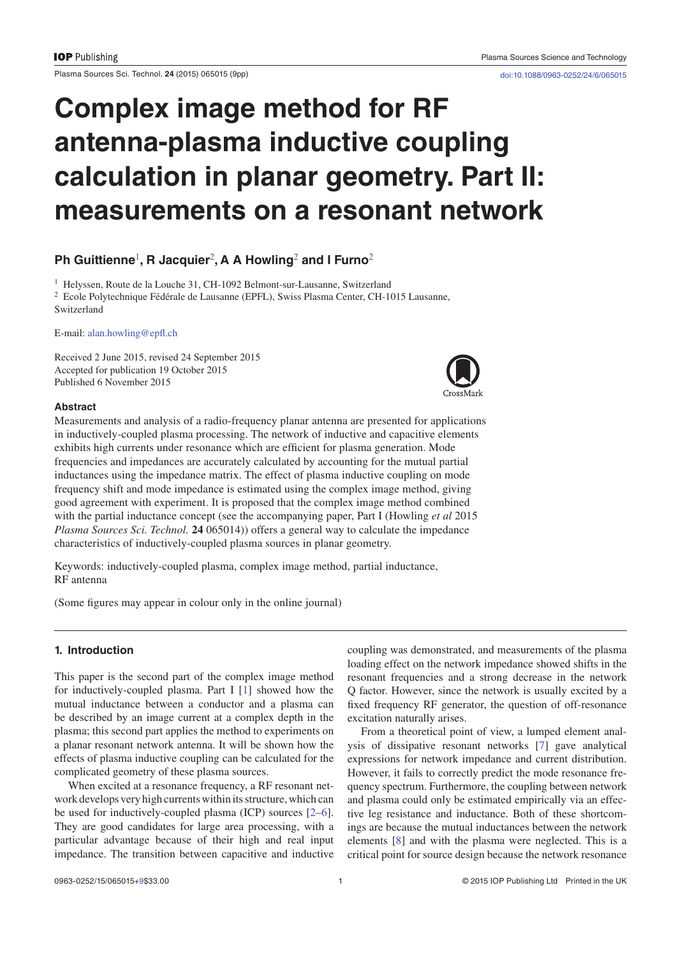Plasma Sources Sci. Technol. **24** (2015) 065015 (9pp) doi:10.1088/0963-0252/24/6/065015

# **Complex image method for RF antenna-plasma inductive coupling calculation in planar geometry. Part II: measurements on a resonant network**

# **Ph Guittienne**<sup>1</sup> **, R Jacquier**<sup>2</sup> **, A A Howling**<sup>2</sup>  **and I Furno**<sup>2</sup>

<sup>1</sup> Helyssen, Route de la Louche 31, CH-1092 Belmont-sur-Lausanne, Switzerland <sup>2</sup> Ecole Polytechnique Fédérale de Lausanne (EPFL), Swiss Plasma Center, CH-1015 Lausanne, Switzerland

E-mail: alan.howling@epfl.ch

Received 2 June 2015, revised 24 September 2015 Accepted for publication 19 October 2015 Published 6 November 2015



# **Abstract**

Measurements and analysis of a radio-frequency planar antenna are presented for applications in inductively-coupled plasma processing. The network of inductive and capacitive elements exhibits high currents under resonance which are efficient for plasma generation. Mode frequencies and impedances are accurately calculated by accounting for the mutual partial inductances using the impedance matrix. The effect of plasma inductive coupling on mode frequency shift and mode impedance is estimated using the complex image method, giving good agreement with experiment. It is proposed that the complex image method combined with the partial inductance concept (see the accompanying paper, Part I (Howling *et al* 2015 *Plasma Sources Sci. Technol.* **24** 065014)) offers a general way to calculate the impedance characteristics of inductively-coupled plasma sources in planar geometry.

Keywords: inductively-coupled plasma, complex image method, partial inductance, RF antenna

(Some figures may appear in colour only in the online journal)

# **1. Introduction**

This paper is the second part of the complex image method for inductively-coupled plasma. Part I [1] showed how the mutual inductance between a conductor and a plasma can be described by an image current at a complex depth in the plasma; this second part applies the method to experiments on a planar resonant network antenna. It will be shown how the effects of plasma inductive coupling can be calculated for the complicated geometry of these plasma sources.

When excited at a resonance frequency, a RF resonant network develops very high currents within its structure, which can be used for inductively-coupled plasma (ICP) sources [2–6]. They are good candidates for large area processing, with a particular advantage because of their high and real input impedance. The transition between capacitive and inductive coupling was demonstrated, and measurements of the plasma loading effect on the network impedance showed shifts in the resonant frequencies and a strong decrease in the network Q factor. However, since the network is usually excited by a fixed frequency RF generator, the question of off-resonance excitation naturally arises.

From a theoretical point of view, a lumped element analysis of dissipative resonant networks [7] gave analytical expressions for network impedance and current distribution. However, it fails to correctly predict the mode resonance frequency spectrum. Furthermore, the coupling between network and plasma could only be estimated empirically via an effective leg resistance and inductance. Both of these shortcomings are because the mutual inductances between the network elements [8] and with the plasma were neglected. This is a critical point for source design because the network resonance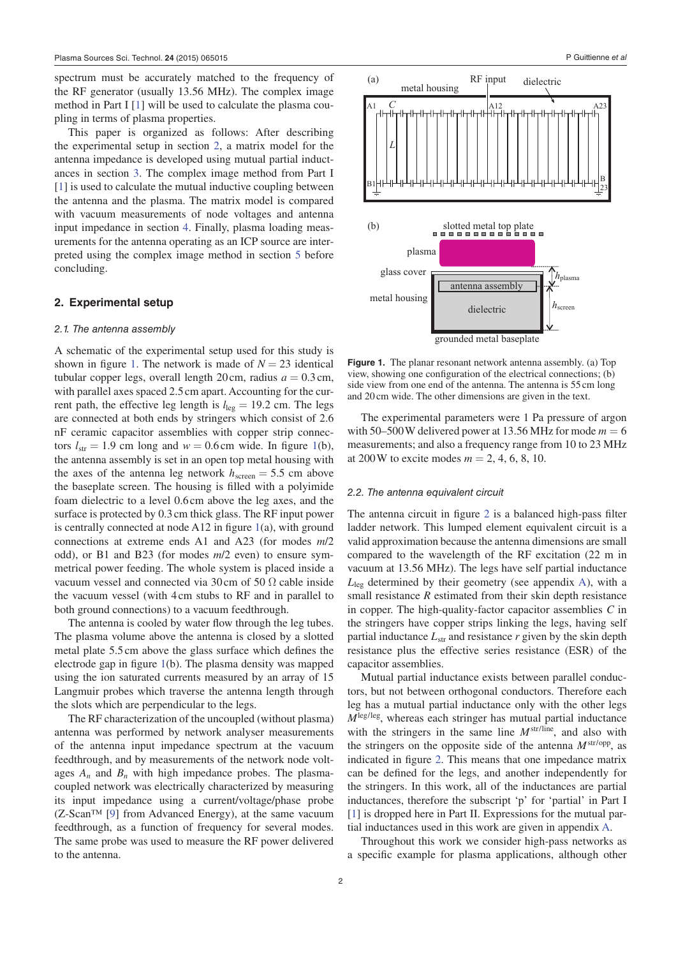spectrum must be accurately matched to the frequency of the RF generator (usually 13.56 MHz). The complex image method in Part I [1] will be used to calculate the plasma coupling in terms of plasma properties.

This paper is organized as follows: After describing the experimental setup in section 2, a matrix model for the antenna impedance is developed using mutual partial inductances in section 3. The complex image method from Part I [1] is used to calculate the mutual inductive coupling between the antenna and the plasma. The matrix model is compared with vacuum measurements of node voltages and antenna input impedance in section 4. Finally, plasma loading measurements for the antenna operating as an ICP source are interpreted using the complex image method in section 5 before concluding.

### **2. Experimental setup**

### 2.1. The antenna assembly

A schematic of the experimental setup used for this study is shown in figure 1. The network is made of  $N = 23$  identical tubular copper legs, overall length  $20 \text{ cm}$ , radius  $a = 0.3 \text{ cm}$ , with parallel axes spaced 2.5 cm apart. Accounting for the current path, the effective leg length is  $l_{\text{leg}} = 19.2 \text{ cm}$ . The legs are connected at both ends by stringers which consist of 2.6 nF ceramic capacitor assemblies with copper strip connectors  $l_{str} = 1.9$  cm long and  $w = 0.6$  cm wide. In figure 1(b), the antenna assembly is set in an open top metal housing with the axes of the antenna leg network  $h_{\text{screen}} = 5.5$  cm above the baseplate screen. The housing is filled with a polyimide foam dielectric to a level 0.6 cm above the leg axes, and the surface is protected by 0.3 cm thick glass. The RF input power is centrally connected at node  $A12$  in figure 1(a), with ground connections at extreme ends A1 and A23 (for modes *m*/2 odd), or B1 and B23 (for modes *m*/2 even) to ensure symmetrical power feeding. The whole system is placed inside a vacuum vessel and connected via 30 cm of 50  $\Omega$  cable inside the vacuum vessel (with 4 cm stubs to RF and in parallel to both ground connections) to a vacuum feedthrough.

The antenna is cooled by water flow through the leg tubes. The plasma volume above the antenna is closed by a slotted metal plate 5.5 cm above the glass surface which defines the electrode gap in figure 1(b). The plasma density was mapped using the ion saturated currents measured by an array of 15 Langmuir probes which traverse the antenna length through the slots which are perpendicular to the legs.

The RF characterization of the uncoupled (without plasma) antenna was performed by network analyser measurements of the antenna input impedance spectrum at the vacuum feedthrough, and by measurements of the network node voltages  $A_n$  and  $B_n$  with high impedance probes. The plasmacoupled network was electrically characterized by measuring its input impedance using a current/voltage/phase probe (Z-Scan™ [9] from Advanced Energy), at the same vacuum feedthrough, as a function of frequency for several modes. The same probe was used to measure the RF power delivered to the antenna.



grounded metal baseplate

**Figure 1.** The planar resonant network antenna assembly. (a) Top view, showing one configuration of the electrical connections;  $(b)$ side view from one end of the antenna. The antenna is 55 cm long and 20 cm wide. The other dimensions are given in the text.

The experimental parameters were 1 Pa pressure of argon with 50–500 W delivered power at 13.56 MHz for mode  $m = 6$ measurements; and also a frequency range from 10 to 23 MHz at 200W to excite modes  $m = 2, 4, 6, 8, 10$ .

#### 2.2. The antenna equivalent circuit

The antenna circuit in figure  $2$  is a balanced high-pass filter ladder network. This lumped element equivalent circuit is a valid approximation because the antenna dimensions are small compared to the wavelength of the RF excitation (22 m in vacuum at 13.56 MHz). The legs have self partial inductance *L*leg determined by their geometry (see appendix A), with a small resistance *R* estimated from their skin depth resistance in copper. The high-quality-factor capacitor assemblies *C* in the stringers have copper strips linking the legs, having self partial inductance  $L_{str}$  and resistance  $r$  given by the skin depth resistance plus the effective series resistance (ESR) of the capacitor assemblies.

Mutual partial inductance exists between parallel conductors, but not between orthogonal conductors. Therefore each leg has a mutual partial inductance only with the other legs  $M<sup>leg/leg</sup>$ , whereas each stringer has mutual partial inductance with the stringers in the same line  $M^{str/line}$ , and also with the stringers on the opposite side of the antenna *M*str/opp, as indicated in figure 2. This means that one impedance matrix can be defined for the legs, and another independently for the stringers. In this work, all of the inductances are partial inductances, therefore the subscript 'p' for 'partial' in Part I [1] is dropped here in Part II. Expressions for the mutual partial inductances used in this work are given in appendix A.

Throughout this work we consider high-pass networks as a specific example for plasma applications, although other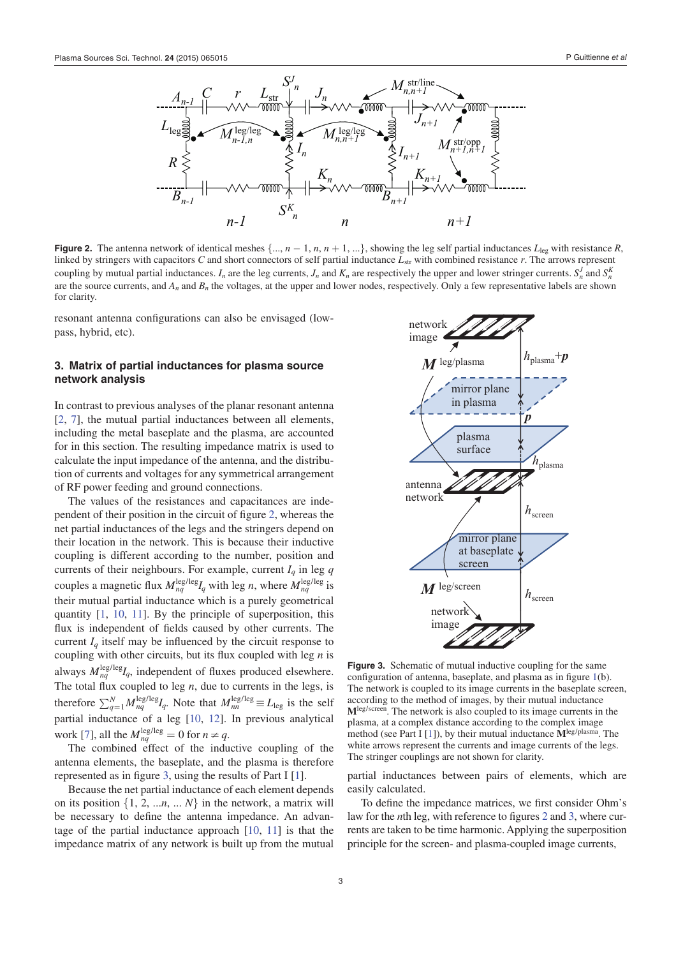

**Figure 2.** The antenna network of identical meshes  $\{..., n-1, n, n+1, ...\}$ , showing the leg self partial inductances  $L_{\text{leg}}$  with resistance *R*, linked by stringers with capacitors *C* and short connectors of self partial inductance *L*<sub>str</sub> with combined resistance *r*. The arrows represent coupling by mutual partial inductances.  $I_n$  are the leg currents,  $J_n$  and  $K_n$  are respectively the upper and lower stringer currents.  $S_n^J$  and  $S_n^K$ are the source currents, and  $A_n$  and  $B_n$  the voltages, at the upper and lower nodes, respectively. Only a few representative labels are shown for clarity.

resonant antenna configurations can also be envisaged (lowpass, hybrid, etc).

# **3. Matrix of partial inductances for plasma source network analysis**

In contrast to previous analyses of the planar resonant antenna [2, 7], the mutual partial inductances between all elements, including the metal baseplate and the plasma, are accounted for in this section. The resulting impedance matrix is used to calculate the input impedance of the antenna, and the distribution of currents and voltages for any symmetrical arrangement of RF power feeding and ground connections.

The values of the resistances and capacitances are independent of their position in the circuit of figure 2, whereas the net partial inductances of the legs and the stringers depend on their location in the network. This is because their inductive coupling is different according to the number, position and currents of their neighbours. For example, current  $I_q$  in leg  $q$ couples a magnetic flux  $M_{nq}^{\text{leg/leg}} I_q$  with leg *n*, where  $M_{nq}^{\text{leg/leg}}$  is their mutual partial inductance which is a purely geometrical quantity [1, 10, 11]. By the principle of superposition, this flux is independent of fields caused by other currents. The current  $I_q$  itself may be influenced by the circuit response to coupling with other circuits, but its flux coupled with leg  $n$  is always  $M_{nq}^{\text{leg/leg}}I_q$ , independent of fluxes produced elsewhere. The total flux coupled to leg  $n$ , due to currents in the legs, is therefore  $\sum_{q=1}^{N} M_{nq}^{\text{leg/leg}} I_q$ . Note that  $M_{nn}^{\text{leg/leg}} \equiv L_{\text{leg}}$  is the self partial inductance of a leg [10, 12]. In previous analytical work [7], all the  $M_{nq}^{\text{leg/leg}} = 0$  for  $n \neq q$ .

The combined effect of the inductive coupling of the antenna elements, the baseplate, and the plasma is therefore represented as in figure 3, using the results of Part I  $[1]$ .

Because the net partial inductance of each element depends on its position  $\{1, 2, \ldots n, \ldots N\}$  in the network, a matrix will be necessary to define the antenna impedance. An advantage of the partial inductance approach [10, 11] is that the impedance matrix of any network is built up from the mutual



**Figure 3.** Schematic of mutual inductive coupling for the same configuration of antenna, baseplate, and plasma as in figure  $1(b)$ . The network is coupled to its image currents in the baseplate screen, according to the method of images, by their mutual inductance **M**leg/screen. The network is also coupled to its image currents in the plasma, at a complex distance according to the complex image method (see Part I [1]), by their mutual inductance **M**leg/plasma. The white arrows represent the currents and image currents of the legs. The stringer couplings are not shown for clarity.

partial inductances between pairs of elements, which are easily calculated.

To define the impedance matrices, we first consider Ohm's law for the *n*th leg, with reference to figures 2 and 3, where currents are taken to be time harmonic. Applying the superposition principle for the screen- and plasma-coupled image currents,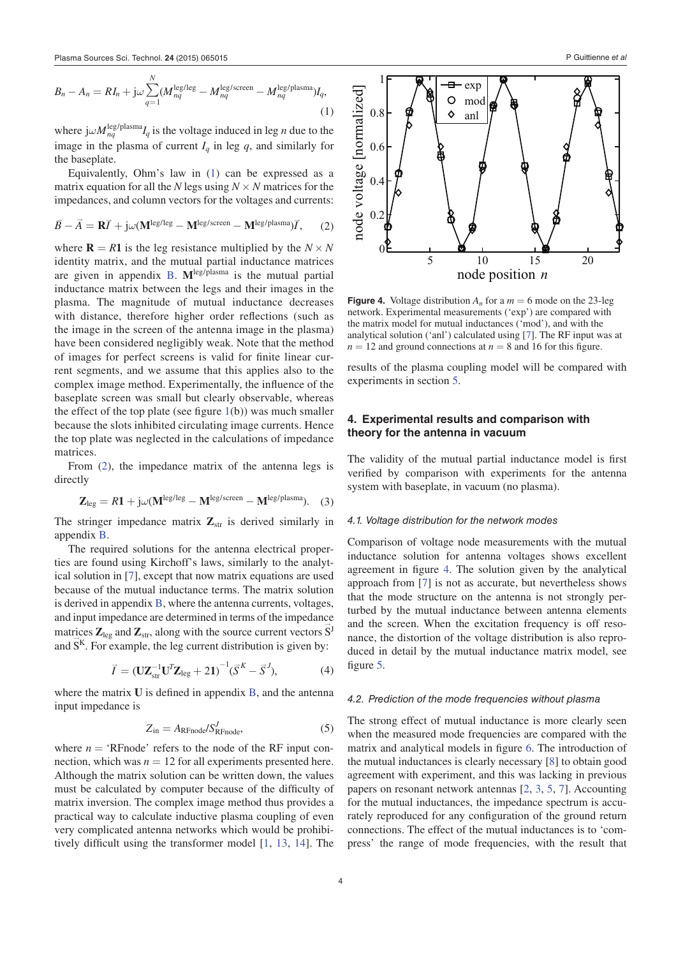$$
B_n - A_n = RI_n + j\omega \sum_{q=1}^{N} (M_{nq}^{\text{leg/leg}} - M_{nq}^{\text{leg/screen}} - M_{nq}^{\text{leg/plasma}})I_q,
$$
\n(1)

where  $j\omega M_{nq}^{\text{leg}/\text{plasma}}I_q$  is the voltage induced in leg *n* due to the image in the plasma of current  $I_q$  in leg  $q$ , and similarly for the baseplate.

Equivalently, Ohm's law in (1) can be expressed as a matrix equation for all the *N* legs using  $N \times N$  matrices for the impedances, and column vectors for the voltages and currents:

$$
\vec{B} - \vec{A} = \mathbf{R}\vec{I} + j\omega(\mathbf{M}^{\text{leg/leg}} - \mathbf{M}^{\text{leg/screen}} - \mathbf{M}^{\text{leg/plasma}})\vec{I},\qquad(2)
$$

where  $\mathbf{R} = R\mathbf{1}$  is the leg resistance multiplied by the  $N \times N$ identity matrix, and the mutual partial inductance matrices are given in appendix B. **M**leg/plasma is the mutual partial inductance matrix between the legs and their images in the plasma. The magnitude of mutual inductance decreases with distance, therefore higher order reflections (such as the image in the screen of the antenna image in the plasma) have been considered negligibly weak. Note that the method of images for perfect screens is valid for finite linear current segments, and we assume that this applies also to the complex image method. Experimentally, the influence of the baseplate screen was small but clearly observable, whereas the effect of the top plate (see figure  $1(b)$ ) was much smaller because the slots inhibited circulating image currents. Hence the top plate was neglected in the calculations of impedance matrices.

From (2), the impedance matrix of the antenna legs is directly

$$
\mathbf{Z}_{\text{leg}} = R1 + j\omega(\mathbf{M}^{\text{leg/leg}} - \mathbf{M}^{\text{leg/screen}} - \mathbf{M}^{\text{leg/plasma}}). \quad (3)
$$

The stringer impedance matrix  $\mathbf{Z}_{str}$  is derived similarly in appendix B.

The required solutions for the antenna electrical properties are found using Kirchoff's laws, similarly to the analytical solution in [7], except that now matrix equations are used because of the mutual inductance terms. The matrix solution is derived in appendix B, where the antenna currents, voltages, and input impedance are determined in terms of the impedance matrices  $\mathbf{Z}_{\text{leg}}$  and  $\mathbf{Z}_{\text{str}}$ , along with the source current vectors  $\mathbf{S}^{\text{J}}$ and  $S<sup>K</sup>$ . For example, the leg current distribution is given by:

$$
\vec{I} = (\mathbf{U}\mathbf{Z}_{\text{str}}^{-1}\mathbf{U}^T\mathbf{Z}_{\text{leg}} + 2\mathbf{1})^{-1}(\vec{S}^K - \vec{S}^J),\tag{4}
$$

where the matrix  **is defined in appendix**  $**B**$ **, and the antenna** input impedance is

$$
Z_{\rm in} = A_{\rm RFnode} / S_{\rm RFnode}^J,\tag{5}
$$

where  $n = 'R$ Fnode' refers to the node of the RF input connection, which was  $n = 12$  for all experiments presented here. Although the matrix solution can be written down, the values must be calculated by computer because of the difficulty of matrix inversion. The complex image method thus provides a practical way to calculate inductive plasma coupling of even very complicated antenna networks which would be prohibitively difficult using the transformer model  $[1, 13, 14]$ . The



**Figure 4.** Voltage distribution  $A_n$  for a  $m = 6$  mode on the 23-leg network. Experimental measurements ('exp') are compared with the matrix model for mutual inductances ('mod'), and with the analytical solution ('anl') calculated using [7]. The RF input was at  $n = 12$  and ground connections at  $n = 8$  and 16 for this figure.

results of the plasma coupling model will be compared with experiments in section 5.

# **4. Experimental results and comparison with theory for the antenna in vacuum**

The validity of the mutual partial inductance model is first verified by comparison with experiments for the antenna system with baseplate, in vacuum (no plasma).

# 4.1. Voltage distribution for the network modes

Comparison of voltage node measurements with the mutual inductance solution for antenna voltages shows excellent agreement in figure 4. The solution given by the analytical approach from [7] is not as accurate, but nevertheless shows that the mode structure on the antenna is not strongly perturbed by the mutual inductance between antenna elements and the screen. When the excitation frequency is off resonance, the distortion of the voltage distribution is also reproduced in detail by the mutual inductance matrix model, see figure 5.

#### 4.2. Prediction of the mode frequencies without plasma

The strong effect of mutual inductance is more clearly seen when the measured mode frequencies are compared with the matrix and analytical models in figure 6. The introduction of the mutual inductances is clearly necessary [8] to obtain good agreement with experiment, and this was lacking in previous papers on resonant network antennas [2, 3, 5, 7]. Accounting for the mutual inductances, the impedance spectrum is accurately reproduced for any configuration of the ground return connections. The effect of the mutual inductances is to 'compress' the range of mode frequencies, with the result that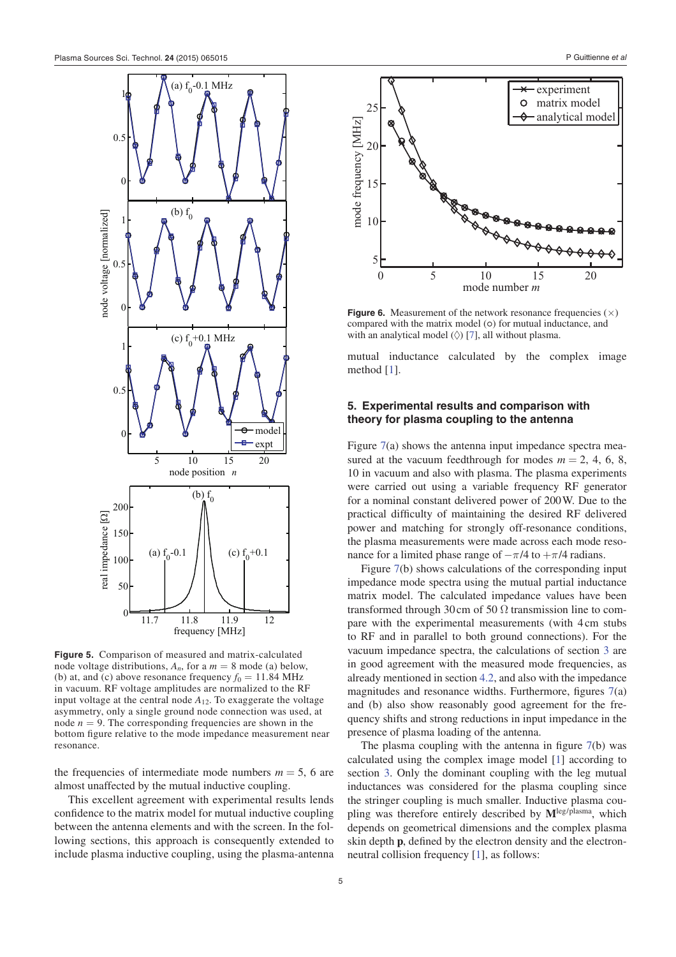

**Figure 5.** Comparison of measured and matrix-calculated node voltage distributions,  $A_n$ , for a  $m = 8$  mode (a) below, (b) at, and (c) above resonance frequency  $f_0 = 11.84 \text{ MHz}$ in vacuum. RF voltage amplitudes are normalized to the RF input voltage at the central node *A*12. To exaggerate the voltage asymmetry, only a single ground node connection was used, at node  $n = 9$ . The corresponding frequencies are shown in the bottom figure relative to the mode impedance measurement near resonance.

the frequencies of intermediate mode numbers  $m = 5$ , 6 are almost unaffected by the mutual inductive coupling.

This excellent agreement with experimental results lends confidence to the matrix model for mutual inductive coupling between the antenna elements and with the screen. In the following sections, this approach is consequently extended to include plasma inductive coupling, using the plasma-antenna



**Figure 6.** Measurement of the network resonance frequencies  $(\times)$ compared with the matrix model (o) for mutual inductance, and with an analytical model  $(\Diamond)$  [7], all without plasma.

mutual inductance calculated by the complex image method [1].

# **5. Experimental results and comparison with theory for plasma coupling to the antenna**

Figure 7(a) shows the antenna input impedance spectra measured at the vacuum feedthrough for modes  $m = 2, 4, 6, 8$ , 10 in vacuum and also with plasma. The plasma experiments were carried out using a variable frequency RF generator for a nominal constant delivered power of 200 W. Due to the practical difficulty of maintaining the desired RF delivered power and matching for strongly off-resonance conditions, the plasma measurements were made across each mode resonance for a limited phase range of  $-\pi/4$  to  $+\pi/4$  radians.

Figure 7(b) shows calculations of the corresponding input impedance mode spectra using the mutual partial inductance matrix model. The calculated impedance values have been transformed through 30 cm of 50  $\Omega$  transmission line to compare with the experimental measurements (with 4 cm stubs to RF and in parallel to both ground connections). For the vacuum impedance spectra, the calculations of section 3 are in good agreement with the measured mode frequencies, as already mentioned in section 4.2, and also with the impedance magnitudes and resonance widths. Furthermore, figures  $7(a)$ and (b) also show reasonably good agreement for the frequency shifts and strong reductions in input impedance in the presence of plasma loading of the antenna.

The plasma coupling with the antenna in figure  $7(b)$  was calculated using the complex image model [1] according to section 3. Only the dominant coupling with the leg mutual inductances was considered for the plasma coupling since the stringer coupling is much smaller. Inductive plasma coupling was therefore entirely described by **M**leg/plasma, which depends on geometrical dimensions and the complex plasma skin depth **p**, defined by the electron density and the electronneutral collision frequency [1], as follows: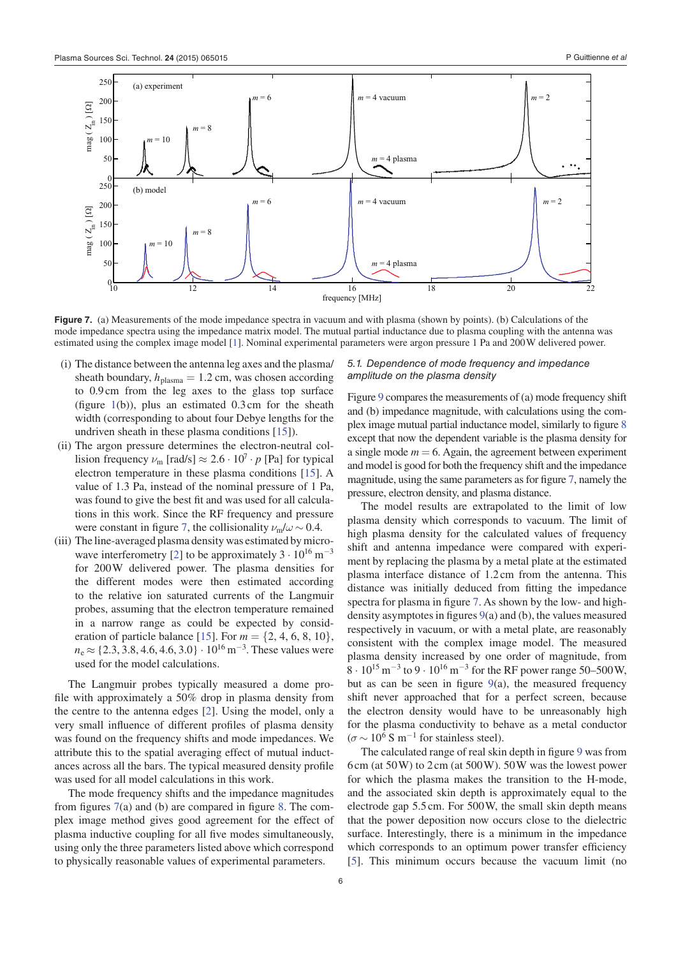

**Figure 7.** (a) Measurements of the mode impedance spectra in vacuum and with plasma (shown by points). (b) Calculations of the mode impedance spectra using the impedance matrix model. The mutual partial inductance due to plasma coupling with the antenna was estimated using the complex image model [1]. Nominal experimental parameters were argon pressure 1 Pa and 200 W delivered power.

- (i) The distance between the antenna leg axes and the plasma/ sheath boundary,  $h_{\text{plasma}} = 1.2 \text{ cm}$ , was chosen according to 0.9 cm from the leg axes to the glass top surface (figure  $1(b)$ ), plus an estimated 0.3 cm for the sheath width (corresponding to about four Debye lengths for the undriven sheath in these plasma conditions [15]).
- (ii) The argon pressure determines the electron-neutral collision frequency  $\nu_{\rm m}$  [rad/s]  $\approx 2.6 \cdot 10^7 \cdot p$  [Pa] for typical electron temperature in these plasma conditions [15]. A value of 1.3 Pa, instead of the nominal pressure of 1 Pa, was found to give the best fit and was used for all calculations in this work. Since the RF frequency and pressure were constant in figure 7, the collisionality  $\nu_{\rm m}/\omega \sim 0.4$ .
- (iii) The line-averaged plasma density was estimated by microwave interferometry [2] to be approximately  $3 \cdot 10^{16}$  m<sup>-3</sup> for 200 W delivered power. The plasma densities for the different modes were then estimated according to the relative ion saturated currents of the Langmuir probes, assuming that the electron temperature remained in a narrow range as could be expected by consideration of particle balance [15]. For  $m = \{2, 4, 6, 8, 10\},\$  $n_e \approx \{2.3, 3.8, 4.6, 4.6, 3.0\} \cdot 10^{16} \,\mathrm{m}^{-3}$ . These values were used for the model calculations.

The Langmuir probes typically measured a dome pro file with approximately a  $50\%$  drop in plasma density from the centre to the antenna edges [2]. Using the model, only a very small influence of different profiles of plasma density was found on the frequency shifts and mode impedances. We attribute this to the spatial averaging effect of mutual inductances across all the bars. The typical measured density profile was used for all model calculations in this work.

The mode frequency shifts and the impedance magnitudes from figures  $7(a)$  and (b) are compared in figure 8. The complex image method gives good agreement for the effect of plasma inductive coupling for all five modes simultaneously, using only the three parameters listed above which correspond to physically reasonable values of experimental parameters.

#### 5.1. Dependence of mode frequency and impedance amplitude on the plasma density

Figure 9 compares the measurements of (a) mode frequency shift and (b) impedance magnitude, with calculations using the complex image mutual partial inductance model, similarly to  $figure 8$ except that now the dependent variable is the plasma density for a single mode  $m = 6$ . Again, the agreement between experiment and model is good for both the frequency shift and the impedance magnitude, using the same parameters as for figure 7, namely the pressure, electron density, and plasma distance.

The model results are extrapolated to the limit of low plasma density which corresponds to vacuum. The limit of high plasma density for the calculated values of frequency shift and antenna impedance were compared with experiment by replacing the plasma by a metal plate at the estimated plasma interface distance of 1.2 cm from the antenna. This distance was initially deduced from fitting the impedance spectra for plasma in figure 7. As shown by the low- and highdensity asymptotes in figures  $9(a)$  and (b), the values measured respectively in vacuum, or with a metal plate, are reasonably consistent with the complex image model. The measured plasma density increased by one order of magnitude, from  $8 \cdot 10^{15} \,\mathrm{m}^{-3}$  to 9  $\cdot 10^{16} \,\mathrm{m}^{-3}$  for the RF power range 50–500 W, but as can be seen in figure  $9(a)$ , the measured frequency shift never approached that for a perfect screen, because the electron density would have to be unreasonably high for the plasma conductivity to behave as a metal conductor  $(\sigma \sim 10^6 \text{ S m}^{-1} \text{ for stainless steel}).$ 

The calculated range of real skin depth in figure 9 was from 6 cm (at 50 W) to 2 cm (at 500 W). 50 W was the lowest power for which the plasma makes the transition to the H-mode, and the associated skin depth is approximately equal to the electrode gap 5.5 cm. For 500 W, the small skin depth means that the power deposition now occurs close to the dielectric surface. Interestingly, there is a minimum in the impedance which corresponds to an optimum power transfer efficiency [5]. This minimum occurs because the vacuum limit (no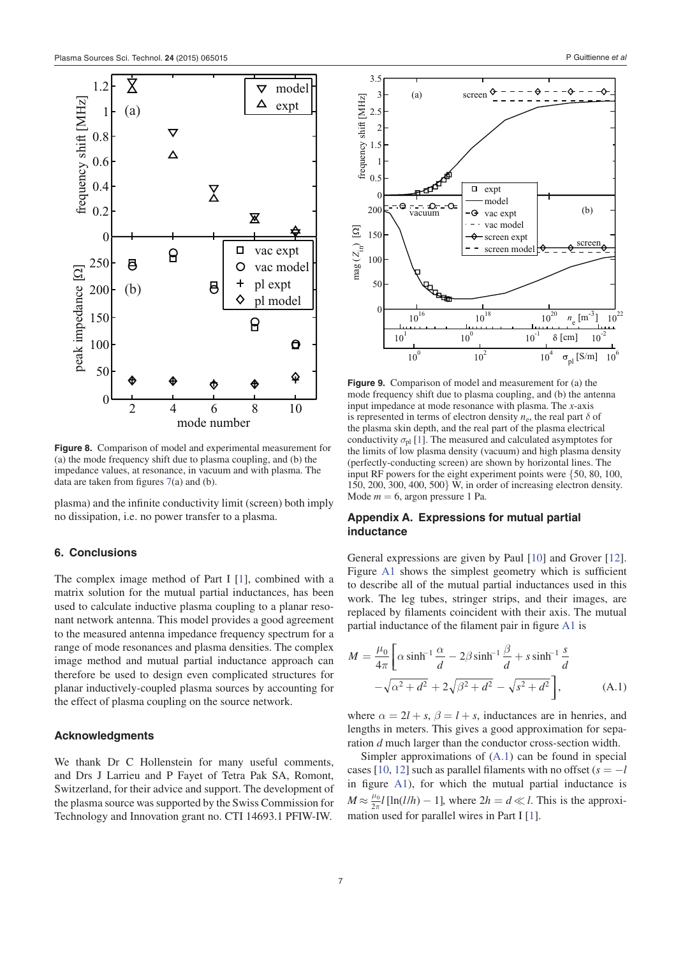

**Figure 8.** Comparison of model and experimental measurement for (a) the mode frequency shift due to plasma coupling, and (b) the impedance values, at resonance, in vacuum and with plasma. The data are taken from figures  $7(a)$  and (b).

plasma) and the infinite conductivity limit (screen) both imply no dissipation, i.e. no power transfer to a plasma.

### **6. Conclusions**

The complex image method of Part I [1], combined with a matrix solution for the mutual partial inductances, has been used to calculate inductive plasma coupling to a planar resonant network antenna. This model provides a good agreement to the measured antenna impedance frequency spectrum for a range of mode resonances and plasma densities. The complex image method and mutual partial inductance approach can therefore be used to design even complicated structures for planar inductively-coupled plasma sources by accounting for the effect of plasma coupling on the source network.

#### **Acknowledgments**

We thank Dr C Hollenstein for many useful comments, and Drs J Larrieu and P Fayet of Tetra Pak SA, Romont, Switzerland, for their advice and support. The development of the plasma source was supported by the Swiss Commission for Technology and Innovation grant no. CTI 14693.1 PFIW-IW.



**Figure 9.** Comparison of model and measurement for (a) the mode frequency shift due to plasma coupling, and (b) the antenna input impedance at mode resonance with plasma. The *x*-axis is represented in terms of electron density  $n_e$ , the real part  $\delta$  of the plasma skin depth, and the real part of the plasma electrical conductivity  $\sigma_{\text{pl}}$  [1]. The measured and calculated asymptotes for the limits of low plasma density (vacuum) and high plasma density (perfectly-conducting screen) are shown by horizontal lines. The input RF powers for the eight experiment points were {50, 80, 100, 150, 200, 300, 400, 500} W, in order of increasing electron density. Mode  $m = 6$ , argon pressure 1 Pa.

# **Appendix A. Expressions for mutual partial inductance**

General expressions are given by Paul [10] and Grover [12]. Figure  $A1$  shows the simplest geometry which is sufficient to describe all of the mutual partial inductances used in this work. The leg tubes, stringer strips, and their images, are replaced by filaments coincident with their axis. The mutual partial inductance of the filament pair in figure A1 is

$$
M = \frac{\mu_0}{4\pi} \left[ \alpha \sinh^{-1} \frac{\alpha}{d} - 2\beta \sinh^{-1} \frac{\beta}{d} + s \sinh^{-1} \frac{s}{d} - \sqrt{\alpha^2 + d^2} + 2\sqrt{\beta^2 + d^2} - \sqrt{s^2 + d^2} \right],
$$
 (A.1)

where  $\alpha = 2l + s$ ,  $\beta = l + s$ , inductances are in henries, and lengths in meters. This gives a good approximation for separation *d* much larger than the conductor cross-section width.

Simpler approximations of (A.1) can be found in special cases [10, 12] such as parallel filaments with no offset  $(s = -l)$ in figure  $A1$ ), for which the mutual partial inductance is  $M \approx \frac{\mu_0}{2\pi} l \left[ \ln(l/h) - 1 \right]$ , where  $2h = d \ll l$ . This is the approxi- $\frac{2\pi}{100}$  mation used for parallel wires in Part I [1].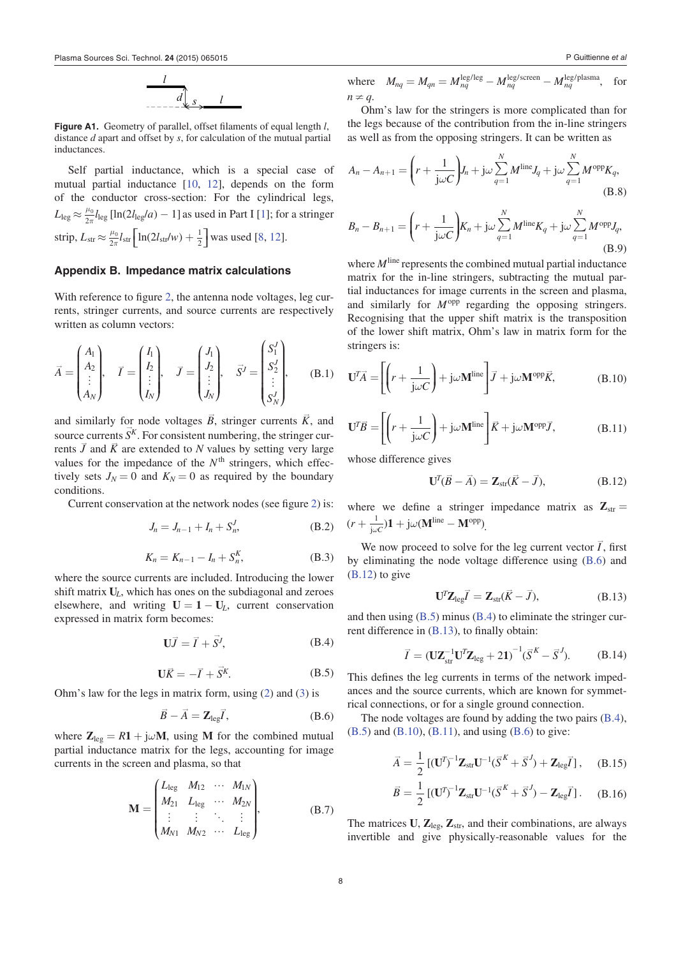**Figure A1.** Geometry of parallel, offset filaments of equal length *l*, distance *d* apart and offset by *s*, for calculation of the mutual partial inductances.

Self partial inductance, which is a special case of mutual partial inductance [10, 12], depends on the form of the conductor cross-section: For the cylindrical legs,  $L_{\text{leg}} \approx \frac{\mu_0}{2\pi} l_{\text{leg}} [\ln(2l_{\text{leg}}/a) - 1]$  as used in Part I [1]; for a stringer strip,  $L_{\rm str} \approx \frac{\mu_0}{2\pi} l_{\rm str} \left[ \ln(2l_{\rm str}/w) + \frac{1}{2} \right]$  $\frac{1}{\pi}l_{\rm str} \left[ \ln(2l_{\rm str}/w) + \frac{1}{2} \right]$  was used [8, 12].

# **Appendix B. Impedance matrix calculations**

With reference to figure 2, the antenna node voltages, leg currents, stringer currents, and source currents are respectively written as column vectors:

$$
\vec{A} = \begin{pmatrix} A_1 \\ A_2 \\ \vdots \\ A_N \end{pmatrix}, \quad \vec{I} = \begin{pmatrix} I_1 \\ I_2 \\ \vdots \\ I_N \end{pmatrix}, \quad \vec{J} = \begin{pmatrix} J_1 \\ J_2 \\ \vdots \\ J_N \end{pmatrix}, \quad \vec{S}^J = \begin{pmatrix} S_1^J \\ S_2^J \\ \vdots \\ S_N^J \end{pmatrix}, \quad (B.1)
$$

and similarly for node voltages  $\vec{B}$ , stringer currents  $\vec{K}$ , and source currents  $S<sup>K</sup>$ . For consistent numbering, the stringer currents  $\vec{J}$  and  $\vec{K}$  are extended to *N* values by setting very large values for the impedance of the  $N<sup>th</sup>$  stringers, which effectively sets  $J_N = 0$  and  $K_N = 0$  as required by the boundary conditions.

Current conservation at the network nodes (see figure 2) is:

$$
J_n = J_{n-1} + I_n + S_n^J,
$$
 (B.2)

$$
K_n = K_{n-1} - I_n + S_n^K,
$$
 (B.3)

where the source currents are included. Introducing the lower shift matrix **U***L*, which has ones on the subdiagonal and zeroes elsewhere, and writing  $U = 1 - U_L$ , current conservation expressed in matrix form becomes:

$$
\mathbf{U}\vec{J} = \vec{I} + \vec{S}^J,\tag{B.4}
$$

$$
\mathbf{U}\vec{K} = -\vec{I} + \vec{S}^K. \tag{B.5}
$$

Ohm's law for the legs in matrix form, using (2) and (3) is

$$
\vec{B} - \vec{A} = \mathbf{Z}_{\text{leg}} \vec{I}, \tag{B.6}
$$

where  $\mathbf{Z}_{\text{leg}} = R\mathbf{1} + j\omega \mathbf{M}$ , using **M** for the combined mutual partial inductance matrix for the legs, accounting for image currents in the screen and plasma, so that

$$
\mathbf{M} = \begin{pmatrix} L_{\text{leg}} & M_{12} & \cdots & M_{1N} \\ M_{21} & L_{\text{leg}} & \cdots & M_{2N} \\ \vdots & \vdots & \ddots & \vdots \\ M_{N1} & M_{N2} & \cdots & L_{\text{leg}} \end{pmatrix},
$$
(B.7)

where 
$$
M_{nq} = M_{qn} = M_{nq}^{\text{leg/leg}} - M_{nq}^{\text{leg/screen}} - M_{nq}^{\text{leg/plasma}}
$$
, for  $n \neq q$ .

Ohm's law for the stringers is more complicated than for the legs because of the contribution from the in-line stringers as well as from the opposing stringers. It can be written as

$$
A_n - A_{n+1} = \left(r + \frac{1}{j\omega C}\right)J_n + j\omega \sum_{q=1}^N M^{\text{line}}J_q + j\omega \sum_{q=1}^N M^{\text{opp}}K_q,
$$
\n(B.8)

$$
B_n - B_{n+1} = \left(r + \frac{1}{j\omega C}\right)K_n + j\omega \sum_{q=1}^N M^{\text{line}}K_q + j\omega \sum_{q=1}^N M^{\text{opp}}J_q,
$$
\n(B.9)

where *M*<sup>line</sup> represents the combined mutual partial inductance matrix for the in-line stringers, subtracting the mutual partial inductances for image currents in the screen and plasma, and similarly for  $M^{\text{opp}}$  regarding the opposing stringers. Recognising that the upper shift matrix is the transposition of the lower shift matrix, Ohm's law in matrix form for the stringers is:

$$
\mathbf{U}^T \vec{A} = \left[ \left( r + \frac{1}{j\omega C} \right) + j\omega \mathbf{M}^{\text{line}} \right] \vec{J} + j\omega \mathbf{M}^{\text{opp}} \vec{K}, \tag{B.10}
$$

$$
\mathbf{U}^T \vec{B} = \left[ \left( r + \frac{1}{j\omega C} \right) + j\omega \mathbf{M}^{\text{line}} \right] \vec{K} + j\omega \mathbf{M}^{\text{opp}} \vec{J}, \tag{B.11}
$$

whose difference gives

$$
\mathbf{U}^T(\vec{B} - \vec{A}) = \mathbf{Z}_{str}(\vec{K} - \vec{J}), \tag{B.12}
$$

where we define a stringer impedance matrix as  $\mathbf{Z}_{str} =$  $r + \frac{1}{\mathrm{j}\omega C}$ ) $1 + \mathrm{j}\omega (\mathbf{M}^\mathrm{line} - \mathbf{M})$ 1  $(r + \frac{1}{j\omega C})\mathbf{1} + j\omega(\mathbf{M}^{\text{line}} - \mathbf{M}^{\text{opp}}).$ 

We now proceed to solve for the leg current vector  $\vec{I}$ , first by eliminating the node voltage difference using (B.6) and (B.12) to give

$$
\mathbf{U}^T \mathbf{Z}_{\text{leg}} \vec{I} = \mathbf{Z}_{\text{str}} (\vec{K} - \vec{J}), \tag{B.13}
$$

and then using (B.5) minus (B.4) to eliminate the stringer current difference in  $(B.13)$ , to finally obtain:

$$
\vec{I} = (\mathbf{U}\mathbf{Z}_{\text{str}}^{-1}\mathbf{U}^T\mathbf{Z}_{\text{leg}} + 2\mathbf{1})^{-1}(\vec{S}^K - \vec{S}^J). \tag{B.14}
$$

This defines the leg currents in terms of the network impedances and the source currents, which are known for symmetrical connections, or for a single ground connection.

The node voltages are found by adding the two pairs (B.4),  $(B.5)$  and  $(B.10)$ ,  $(B.11)$ , and using  $(B.6)$  to give:

$$
\vec{A} = \frac{1}{2} [(\mathbf{U}^T)^{-1} \mathbf{Z}_{str} \mathbf{U}^{-1} (\vec{S}^K + \vec{S}^J) + \mathbf{Z}_{leg} \vec{I}], \quad (B.15)
$$

$$
\vec{B} = \frac{1}{2} \left[ (\mathbf{U}^T)^{-1} \mathbf{Z}_{str} \mathbf{U}^{-1} (\vec{S}^K + \vec{S}^J) - \mathbf{Z}_{leg} \vec{I} \right]. \tag{B.16}
$$

The matrices  $U$ ,  $Z_{\text{leg}}$ ,  $Z_{\text{str}}$ , and their combinations, are always invertible and give physically-reasonable values for the